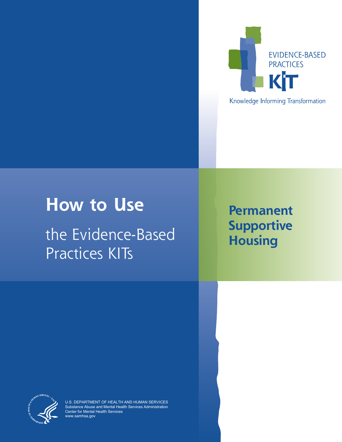

Knowledge Informing Transformation

# **How to Use**

the Evidence-Based Practices KITs

## **Permanent Supportive Housing**



U.S. DEPARTMENT OF HEALTH AND HUMAN SERVICES Substance Abuse and Mental Health Services Administration Center for Mental Health Services [www.samhsa.gov](http://www.samhsa.gov)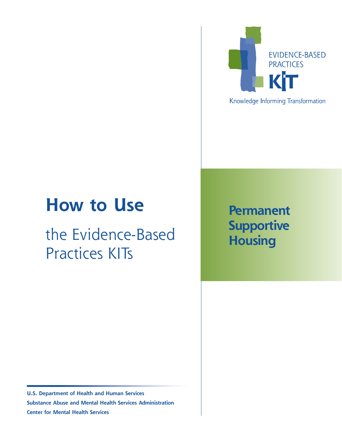# **How to Use**

# the Evidence-Based Practices KITs



Knowledge Informing Transformation

## **Permanent Supportive Housing**

**U.S. Department of Health and Human Services Substance Abuse and Mental Health Services Administration Center for Mental Health Services**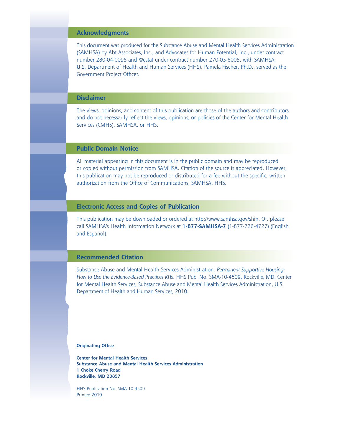## **Acknowledgments**

This document was produced for the Substance Abuse and Mental Health Services Administration (SAMHSA) by Abt Associates, Inc., and Advocates for Human Potential, Inc., under contract number 280-04-0095 and Westat under contract number 270-03-6005, with SAMHSA, U.S. Department of Health and Human Services (HHS). Pamela Fischer, Ph.D., served as the Government Project Officer.

### **Disclaimer**

The views, opinions, and content of this publication are those of the authors and contributors and do not necessarily reflect the views, opinions, or policies of the Center for Mental Health Services (CMHS), SAMHSA, or HHS.

## **Public Domain Notice**

All material appearing in this document is in the public domain and may be reproduced or copied without permission from SAMHSA. Citation of the source is appreciated. However, this publication may not be reproduced or distributed for a fee without the specific, written authorization from the Office of Communications, SAMHSA, HHS.

#### **Electronic Access and Copies of Publication**

This publication may be downloaded or ordered at [http://www.samhsa.gov/shin.](http://www.samhsa.gov/shin) Or, please call SAMHSA's Health Information Network at **1-877-SAMHSA-7** (1-877-726-4727) (English and Español).

#### **Recommended Citation**

Substance Abuse and Mental Health Services Administration. *Permanent Supportive Housing: How to Use the Evidence-Based Practices KITs*. HHS Pub. No. SMA-10-4509, Rockville, MD: Center for Mental Health Services, Substance Abuse and Mental Health Services Administration, U.S. Department of Health and Human Services, 2010.

**Originating Office**

**Center for Mental Health Services Substance Abuse and Mental Health Services Administration 1 Choke Cherry Road Rockville, MD 20857**

HHS Publication No. SMA-10-4509 Printed 2010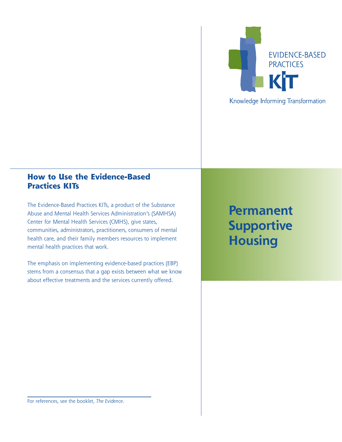

## Knowledge Informing Transformation

## **How to Use the Evidence-Based Practices KITs**

The Evidence-Based Practices KITs, a product of the Substance Abuse and Mental Health Services Administration's (SAMHSA) Center for Mental Health Services (CMHS), give states, communities, administrators, practitioners, consumers of mental health care, and their family members resources to implement mental health practices that work.

The emphasis on implementing evidence-based practices (EBP) stems from a consensus that a gap exists between what we know about effective treatments and the services currently offered.

**Permanent Supportive Housing**

For references, see the booklet, *The Evidence*.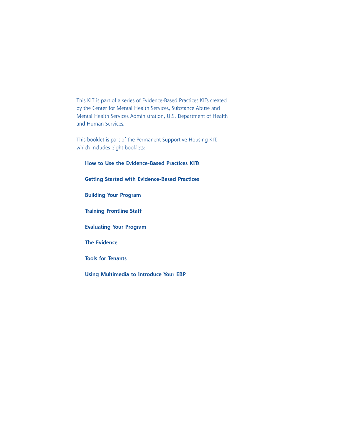This KIT is part of a series of Evidence-Based Practices KITs created by the Center for Mental Health Services, Substance Abuse and Mental Health Services Administration, U.S. Department of Health and Human Services.

This booklet is part of the Permanent Supportive Housing KIT, which includes eight booklets:

**How to Use the Evidence-Based Practices KITs Getting Started with Evidence-Based Practices Building Your Program Training Frontline Staff Evaluating Your Program The Evidence Tools for Tenants Using Multimedia to Introduce Your EBP**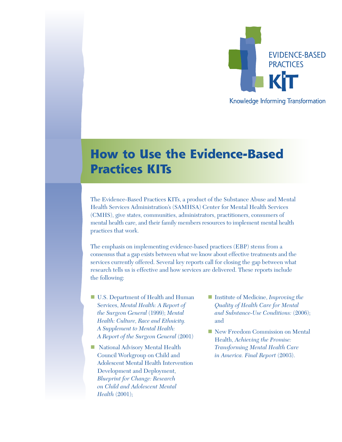

## **How to Use the Evidence-Based Practices KITs**

The Evidence-Based Practices KITs, a product of the Substance Abuse and Mental Health Services Administration's (SAMHSA) Center for Mental Health Services (CMHS), give states, communities, administrators, practitioners, consumers of mental health care, and their family members resources to implement mental health practices that work.

The emphasis on implementing evidence-based practices (EBP) stems from a consensus that a gap exists between what we know about effective treatments and the services currently offered. Several key reports call for closing the gap between what research tells us is effective and how services are delivered. These reports include the following:

- U.S. Department of Health and Human Services, *Mental Health: A Report of the Surgeon General* (1999); *Mental Health: Culture, Race and Ethnicity. A Supplement to Mental Health: A Report of the Surgeon General* (2001)
- National Advisory Mental Health Council Workgroup on Child and Adolescent Mental Health Intervention Development and Deployment, *Blueprint for Change: Research on Child and Adolescent Mental Health* (2001);
- Institute of Medicine, *Improving the Quality of Health Care for Mental and Substance-Use Conditions:* (2006); and
- New Freedom Commission on Mental Health, *Achieving the Promise: Transforming Mental Health Care in America. Final Report* (2003).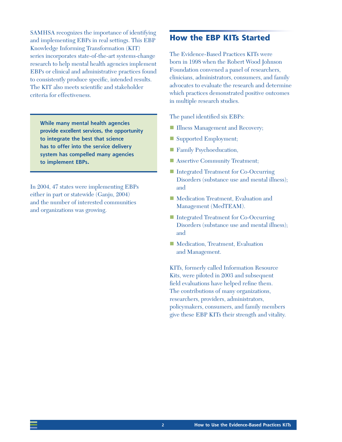SAMHSA recognizes the importance of identifying and implementing EBPs in real settings. This EBP Knowledge Informing Transformation (KIT) series incorporates state-of-the-art systems-change research to help mental health agencies implement EBPs or clinical and administrative practices found to consistently produce specific, intended results. The KIT also meets scientific and stakeholder criteria for effectiveness.

**While many mental health agencies provide excellent services, the opportunity to integrate the best that science has to offer into the service delivery system has compelled many agencies to implement EBPs.**

In 2004, 47 states were implementing EBPs either in part or statewide (Ganju, 2004) and the number of interested communities and organizations was growing.

## **How the EBP KITs Started**

The Evidence-Based Practices KITs were born in 1998 when the Robert Wood Johnson Foundation convened a panel of researchers, clinicians, administrators, consumers, and family advocates to evaluate the research and determine which practices demonstrated positive outcomes in multiple research studies.

The panel identified six EBPs:

- **Illness Management and Recovery;**
- Supported Employment;
- **Family Psychoeducation,**
- Assertive Community Treatment;
- Integrated Treatment for Co-Occurring Disorders (substance use and mental illness); and
- **Medication Treatment, Evaluation and** Management (MedTEAM).
- Integrated Treatment for Co-Occurring Disorders (substance use and mental illness); and
- Medication, Treatment, Evaluation and Management.

KITs, formerly called Information Resource Kits, were piloted in 2003 and subsequent field evaluations have helped refine them. The contributions of many organizations, researchers, providers, administrators, policymakers, consumers, and family members give these EBP KITs their strength and vitality.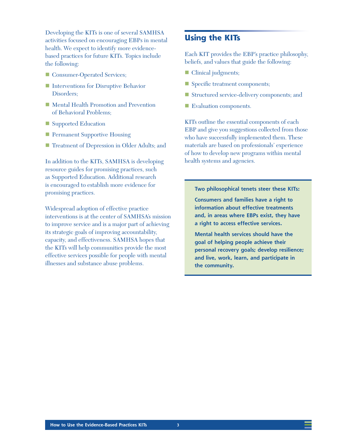Developing the KITs is one of several SAMHSA activities focused on encouraging EBPs in mental health. We expect to identify more evidencebased practices for future KITs. Topics include the following:

- Consumer-Operated Services;
- Interventions for Disruptive Behavior Disorders;
- Mental Health Promotion and Prevention of Behavioral Problems;
- Supported Education
- **Permanent Supportive Housing**
- Treatment of Depression in Older Adults; and

In addition to the KITs, SAMHSA is developing resource guides for promising practices, such as Supported Education. Additional research is encouraged to establish more evidence for promising practices.

Widespread adoption of effective practice interventions is at the center of SAMHSA's mission to improve service and is a major part of achieving its strategic goals of improving accountability, capacity, and effectiveness. SAMHSA hopes that the KITs will help communities provide the most effective services possible for people with mental illnesses and substance abuse problems.

## **Using the KITs**

Each KIT provides the EBP's practice philosophy, beliefs, and values that guide the following:

- **Clinical judgments;**
- Specific treatment components;
- Structured service-delivery components; and
- Evaluation components.

KITs outline the essential components of each EBP and give you suggestions collected from those who have successfully implemented them. These materials are based on professionals' experience of how to develop new programs within mental health systems and agencies.

#### **Two philosophical tenets steer these KITs:**

**Consumers and families have a right to information about effective treatments and, in areas where EBPs exist, they have a right to access effective services.**

**Mental health services should have the goal of helping people achieve their personal recovery goals; develop resilience; and live, work, learn, and participate in the community.**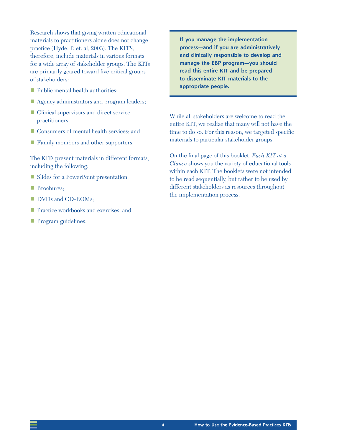Research shows that giving written educational materials to practitioners alone does not change practice (Hyde, P. et. al, 2003). The KITS, therefore, include materials in various formats for a wide array of stakeholder groups. The KITs are primarily geared toward five critical groups of stakeholders:

- **Public mental health authorities;**
- Agency administrators and program leaders;
- Clinical supervisors and direct service practitioners;
- Consumers of mental health services; and
- **Family members and other supporters.**

The KITs present materials in different formats, including the following:

- Slides for a PowerPoint presentation;
- Brochures:
- DVDs and CD-ROMs;
- **Practice workbooks and exercises; and**
- **Program guidelines.**

**If you manage the implementation process—and if you are administratively and clinically responsible to develop and manage the EBP program—you should read this entire KIT and be prepared to disseminate KIT materials to the appropriate people.**

While all stakeholders are welcome to read the entire KIT, we realize that many will not have the time to do so. For this reason, we targeted specific materials to particular stakeholder groups.

On the final page of this booklet, *Each KIT at a Glance* shows you the variety of educational tools within each KIT. The booklets were not intended to be read sequentially, but rather to be used by different stakeholders as resources throughout the implementation process.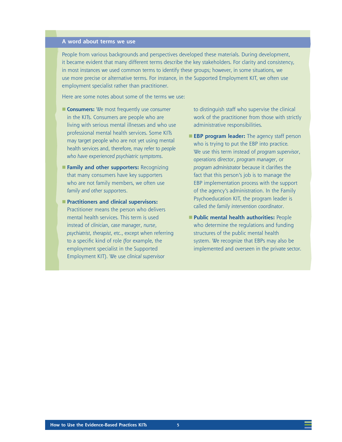## **A word about terms we use**

People from various backgrounds and perspectives developed these materials. During development, it became evident that many different terms describe the key stakeholders. For clarity and consistency, in most instances we used common terms to identify these groups; however, in some situations, we use more precise or alternative terms. For instance, in the Supported Employment KIT, we often use employment specialist rather than practitioner.

Here are some notes about some of the terms we use:

- **Consumers:** We most frequently use *consumer* in the KITs. Consumers are people who are living with serious mental illnesses and who use professional mental health services. Some KITs may target people who are not yet using mental health services and, therefore, may refer to *people who have experienced psychiatric symptoms*.
- **Family and other supporters: Recognizing** that many consumers have key supporters who are not family members, we often use *family and other supporters*.
- **Practitioners and clinical supervisors:** Practitioner means the person who delivers mental health services. This term is used instead of *clinician*, *case manager*, *nurse*, *psychiatrist*, *therapist*, etc., except when referring to a specific kind of role (for example, the employment specialist in the Supported Employment KIT). We use *clinical supervisor*

to distinguish staff who supervise the clinical work of the practitioner from those with strictly administrative responsibilities.

- **EBP program leader:** The agency staff person who is trying to put the EBP into practice. We use this term instead of *program supervisor*, *operations director*, *program manager*, or *program administrator* because it clarifies the fact that this person's job is to manage the EBP implementation process with the support of the agency's administration. In the Family Psychoeducation KIT, the program leader is called *the family intervention coordinator*.
- **Public mental health authorities: People** who determine the regulations and funding structures of the public mental health system. We recognize that EBPs may also be implemented and overseen in the private sector.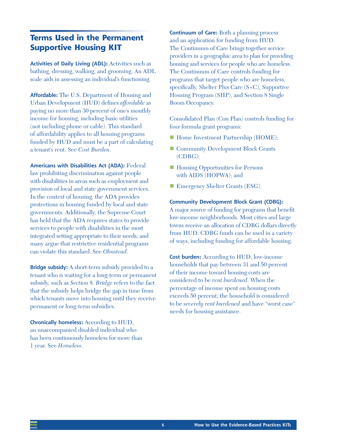## **Terms Used in the Permanent Supportive Housing KIT**

**Activities of Daily Living (ADL):** Activities such as bathing, dressing, walking, and grooming. An ADL scale aids in assessing an individual's functioning.

**Affordable:** The U.S. Department of Housing and Urban Development (HUD) defines *affordable* as paying no more than 30 percent of one's monthly income for housing, including basic utilities (not including phone or cable). This standard of affordability applies to all housing programs funded by HUD and must be a part of calculating a tenant's rent. See *Cost Burden*.

**Americans with Disabilities Act (ADA):** Federal law prohibiting discrimination against people with disabilities in areas such as employment and provision of local and state government services. In the context of housing, the ADA provides protections in housing funded by local and state governments. Additionally, the Supreme Court has held that the ADA requires states to provide services to people with disabilities in the most integrated setting appropriate to their needs, and many argue that restrictive residential programs can violate this standard. See *Olmstead*.

**Bridge subsidy:** A short-term subsidy provided to a tenant who is waiting for a long-term or permanent subsidy, such as *Section 8. Bridge* refers to the fact that the subsidy helps bridge the gap in time from which tenants move into housing until they receive permanent or long-term subsidies.

**Chronically homeless:** According to HUD, an unaccompanied disabled individual who has been continuously homeless for more than 1 year. See *Homeless*.

**Continuum of Care:** Both a planning process and an application for funding from HUD. The Continuum of Care brings together service providers in a geographic area to plan for providing housing and services for people who are homeless. The Continuum of Care controls funding for programs that target people who are homeless, specifically, Shelter Plus Care (S+C), Supportive Housing Program (SHP), and Section 8 Single Room Occupancy.

Consolidated Plan (Con Plan) controls funding for four formula grant programs:

- **Home Investment Partnership (HOME);**
- Community Development Block Grants (CDBG);
- Housing Opportunities for Persons with AIDS (HOPWA); and
- **Exercise** Emergency Shelter Grants (ESG).

**Community Development Block Grant (CDBG):** 

A major source of funding for programs that benefit low-income neighborhoods. Most cities and large towns receive an allocation of CDBG dollars directly from HUD. CDBG funds can be used in a variety of ways, including funding for affordable housing.

**Cost burden:** According to HUD, low-income households that pay between 31 and 50 percent of their income toward housing costs are considered to be *rent burdened*. When the percentage of income spent on housing costs exceeds 50 percent, the household is considered to be *severely rent burdened* and have "worst case" needs for housing assistance.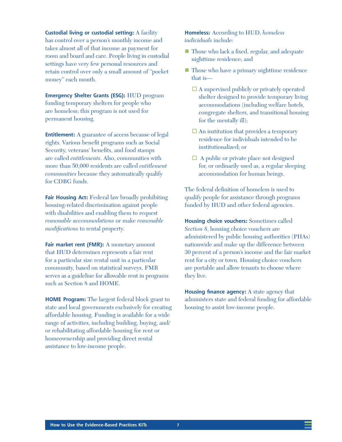**Custodial living or custodial setting:** A facility has control over a person's monthly income and takes almost all of that income as payment for room and board and care. People living in custodial settings have very few personal resources and retain control over only a small amount of "pocket money" each month.

**Emergency Shelter Grants (ESG):** HUD program funding temporary shelters for people who are homeless; this program is not used for permanent housing.

**Entitlement:** A guarantee of access because of legal rights. Various benefit programs such as Social Security, veterans' benefits, and food stamps are called *entitlements*. Also, communities with more than 50,000 residents are called *entitlement communities* because they automatically qualify for CDBG funds.

**Fair Housing Act:** Federal law broadly prohibiting housing-related discrimination against people with disabilities and enabling them to request *reasonable accommodations* or make *reasonable modifications* to rental property.

Fair market rent (FMR): A monetary amount that HUD determines represents a fair rent for a particular size rental unit in a particular community, based on statistical surveys. FMR serves as a guideline for allowable rent in programs such as Section 8 and HOME.

**HOME Program:** The largest federal block grant to state and local governments exclusively for creating affordable housing. Funding is available for a wide range of activities, including building, buying, and/ or rehabilitating affordable housing for rent or homeownership and providing direct rental assistance to low-income people.

### **Homeless:** According to HUD, *homeless individuals* include:

- **Those who lack a fixed, regular, and adequate** nighttime residence; and
- **Those who have a primary nighttime residence** that is—
	- $\Box$  A supervised publicly or privately operated shelter designed to provide temporary living accommodations (including welfare hotels, congregate shelters, and transitional housing for the mentally ill);
	- $\Box$  An institution that provides a temporary residence for individuals intended to be institutionalized; or
	- $\Box$  A public or private place not designed for, or ordinarily used as, a regular sleeping accommodation for human beings.

The federal definition of homeless is used to qualify people for assistance through programs funded by HUD and other federal agencies.

**Housing choice vouchers:** Sometimes called *Section 8*, housing choice vouchers are administered by public housing authorities (PHAs) nationwide and make up the difference between 30 percent of a person's income and the fair market rent for a city or town. Housing choice vouchers are portable and allow tenants to choose where they live.

**Housing finance agency:** A state agency that administers state and federal funding for affordable housing to assist low-income people.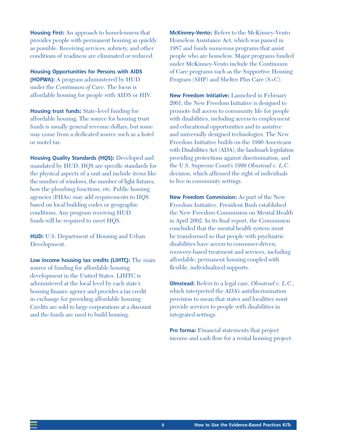**Housing First:** An approach to homelessness that provides people with permanent housing as quickly as possible. Receiving services, sobriety, and other conditions of readiness are eliminated or reduced.

**Housing Opportunities for Persons with AIDS (HOPWA):** A program administered by HUD under the *Continuum of Care*. The focus is affordable housing for people with AIDS or HIV.

**Housing trust funds:** State-level funding for affordable housing. The source for housing trust funds is usually general revenue dollars, but some may come from a dedicated source such as a hotel or motel tax.

**Housing Quality Standards (HQS):** Developed and mandated by HUD, HQS are specific standards for the physical aspects of a unit and include items like the number of windows, the number of light fixtures, how the plumbing functions, etc. Public housing agencies (PHAs) may add requirements to HQS based on local building codes or geographic conditions. Any program receiving HUD funds will be required to meet HQS.

**HUD:** U.S. Department of Housing and Urban Development.

**Low income housing tax credits (LIHTC):** The main source of funding for affordable housing development in the United States. LIHTC is administered at the local level by each state's housing finance agency and provides a tax credit in exchange for providing affordable housing. Credits are sold to large corporations at a discount and the funds are used to build housing.

**McKinney-Vento:** Refers to the McKinney-Vento Homeless Assistance Act, which was passed in 1987 and funds numerous programs that assist people who are homeless. Major programs funded under McKinney-Vento include the Continuum of Care programs such as the Supportive Housing Program (SHP) and Shelter Plus Care (S+C).

**New Freedom Initiative:** Launched in February 2001, the New Freedom Initiative is designed to promote full access to community life for people with disabilities, including access to employment and educational opportunities and to assistive and universally designed technologies. The New Freedom Initiative builds on the 1990 Americans with Disabilities Act (ADA), the landmark legislation providing protections against discrimination, and the U.S. Supreme Court's 1999 *Olmstead v. L.C.* decision, which affirmed the right of individuals to live in community settings.

**New Freedom Commission:** As part of the New Freedom Initiative, President Bush established the New Freedom Commission on Mental Health in April 2002. In its final report, the Commission concluded that the mental health system must be transformed so that people with psychiatric disabilities have access to consumer-driven, recovery-based treatment and services, including affordable, permanent housing coupled with flexible, individualized supports.

**Olmstead:** Refers to a legal case, *Olmstead v. L.C*., which interpreted the *ADA's* antidiscrimination provision to mean that states and localities must provide services to people with disabilities in integrated settings.

**Pro forma:** Financial statements that project income and cash flow for a rental housing project.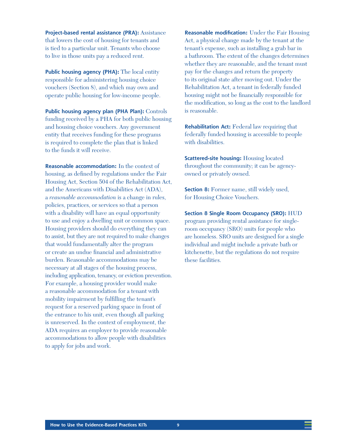**Project-based rental assistance (PRA):** Assistance that lowers the cost of housing for tenants and is tied to a particular unit. Tenants who choose to live in those units pay a reduced rent.

**Public housing agency (PHA):** The local entity responsible for administering housing choice vouchers (Section 8), and which may own and operate public housing for low-income people.

**Public housing agency plan (PHA Plan):** Controls funding received by a PHA for both public housing and housing choice vouchers. Any government entity that receives funding for these programs is required to complete the plan that is linked to the funds it will receive.

**Reasonable accommodation:** In the context of housing, as defined by regulations under the Fair Housing Act, Section 504 of the Rehabilitation Act, and the Americans with Disabilities Act (ADA), a *reasonable accommodation* is a change in rules, policies, practices, or services so that a person with a disability will have an equal opportunity to use and enjoy a dwelling unit or common space. Housing providers should do everything they can to assist, but they are not required to make changes that would fundamentally alter the program or create an undue financial and administrative burden. Reasonable accommodations may be necessary at all stages of the housing process, including application, tenancy, or eviction prevention. For example, a housing provider would make a reasonable accommodation for a tenant with mobility impairment by fulfilling the tenant's request for a reserved parking space in front of the entrance to his unit, even though all parking is unreserved. In the context of employment, the ADA requires an employer to provide reasonable accommodations to allow people with disabilities to apply for jobs and work.

**Reasonable modification:** Under the Fair Housing Act, a physical change made by the tenant at the tenant's expense, such as installing a grab bar in a bathroom. The extent of the changes determines whether they are reasonable, and the tenant must pay for the changes and return the property to its original state after moving out. Under the Rehabilitation Act, a tenant in federally funded housing might not be financially responsible for the modification, so long as the cost to the landlord is reasonable.

**Rehabilitation Act:** Federal law requiring that federally funded housing is accessible to people with disabilities.

**Scattered-site housing:** Housing located throughout the community; it can be agencyowned or privately owned.

**Section 8:** Former name, still widely used, for Housing Choice Vouchers.

**Section 8 Single Room Occupancy (SRO):** HUD program providing rental assistance for singleroom occupancy (SRO) units for people who are homeless. SRO units are designed for a single individual and might include a private bath or kitchenette, but the regulations do not require these facilities.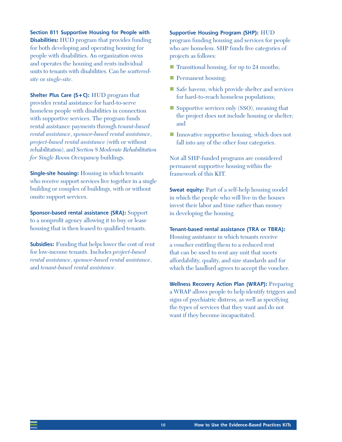**Section 811 Supportive Housing for People with Disabilities:** HUD program that provides funding for both developing and operating housing for people with disabilities. An organization owns and operates the housing and rents individual units to tenants with disabilities. Can be *scatteredsite* or *single-site*.

**Shelter Plus Care (S+C):** HUD program that provides rental assistance for hard-to-serve homeless people with disabilities in connection with supportive services. The program funds rental assistance payments through *tenant-based rental assistance*, *sponsor-based rental assistance*, *project-based rental assistance* (with or without rehabilitation), and *Section 8 Moderate Rehabilitation for Single Room Occupancy* buildings.

**Single-site housing:** Housing in which tenants who receive support services live together in a single building or complex of buildings, with or without onsite support services.

**Sponsor-based rental assistance (SRA):** Support to a nonprofit agency allowing it to buy or lease housing that is then leased to qualified tenants.

**Subsidies:** Funding that helps lower the cost of rent for low-income tenants. Includes *project-based rental assistance*, *sponsor-based rental assistance*, and *tenant-based rental assistance*.

#### **Supportive Housing Program (SHP):** HUD

program funding housing and services for people who are homeless. SHP funds five categories of projects as follows:

- **Transitional housing, for up to 24 months;**
- **Permanent housing;**
- Safe havens, which provide shelter and services for hard-to-reach homeless populations;
- Supportive services only (SSO), meaning that the project does not include housing or shelter; and
- Innovative supportive housing, which does not fall into any of the other four categories.

Not all SHP-funded programs are considered permanent supportive housing within the framework of this KIT.

**Sweat equity:** Part of a self-help housing model in which the people who will live in the houses invest their labor and time rather than money in developing the housing.

#### **Tenant-based rental assistance (TRA or TBRA):**

Housing assistance in which tenants receive a voucher entitling them to a reduced rent that can be used to rent any unit that meets affordability, quality, and size standards and for which the landlord agrees to accept the voucher.

**Wellness Recovery Action Plan (WRAP):** Preparing a WRAP allows people to help identify triggers and signs of psychiatric distress, as well as specifying the types of services that they want and do not want if they become incapacitated.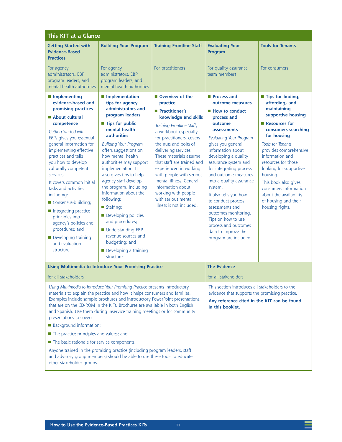| This KIT at a Glance                                                                                                                                                                                                                                                                                                                                                                                                                                                                                                                                                                                                                                                                                                                                 |                                                                                                                                                                                                                                                                                                                                                                                                                                                   |                                                                                                                                                                                                                                                                                                                                                                                                                                                                                                            |                                                                                                                                                                                                                                                                                                                                                                                               |
|------------------------------------------------------------------------------------------------------------------------------------------------------------------------------------------------------------------------------------------------------------------------------------------------------------------------------------------------------------------------------------------------------------------------------------------------------------------------------------------------------------------------------------------------------------------------------------------------------------------------------------------------------------------------------------------------------------------------------------------------------|---------------------------------------------------------------------------------------------------------------------------------------------------------------------------------------------------------------------------------------------------------------------------------------------------------------------------------------------------------------------------------------------------------------------------------------------------|------------------------------------------------------------------------------------------------------------------------------------------------------------------------------------------------------------------------------------------------------------------------------------------------------------------------------------------------------------------------------------------------------------------------------------------------------------------------------------------------------------|-----------------------------------------------------------------------------------------------------------------------------------------------------------------------------------------------------------------------------------------------------------------------------------------------------------------------------------------------------------------------------------------------|
| <b>Building Your Program</b><br>For agency                                                                                                                                                                                                                                                                                                                                                                                                                                                                                                                                                                                                                                                                                                           | <b>Training Frontline Staff</b><br>For practitioners                                                                                                                                                                                                                                                                                                                                                                                              | <b>Evaluating Your</b><br>Program<br>For quality assurance                                                                                                                                                                                                                                                                                                                                                                                                                                                 | <b>Tools for Tenants</b><br>For consumers                                                                                                                                                                                                                                                                                                                                                     |
| program leaders, and<br>mental health authorities                                                                                                                                                                                                                                                                                                                                                                                                                                                                                                                                                                                                                                                                                                    |                                                                                                                                                                                                                                                                                                                                                                                                                                                   |                                                                                                                                                                                                                                                                                                                                                                                                                                                                                                            |                                                                                                                                                                                                                                                                                                                                                                                               |
| <b>Implementation</b><br>tips for agency<br>administrators and<br>program leaders<br>■ Tips for public<br>mental health<br><b>authorities</b><br><b>Building Your Program</b><br>offers suggestions on<br>how mental health<br>authorities may support<br>implementation. It<br>also gives tips to help<br>agency staff develop<br>the program, including<br>information about the<br>following:<br>■ Staffing;<br>Developing policies<br>and procedures;<br>■ Understanding EBP<br>revenue sources and<br>budgeting; and<br>Developing a training<br>structure.                                                                                                                                                                                     | Overview of the<br>practice<br>Practitioner's<br>knowledge and skills<br>Training Frontline Staff,<br>a workbook especially<br>for practitioners, covers<br>the nuts and bolts of<br>delivering services.<br>These materials assume<br>that staff are trained and<br>experienced in working<br>with people with serious<br>mental illness. General<br>information about<br>working with people<br>with serious mental<br>illness is not included. | Process and<br>outcome measures<br>■ How to conduct<br>process and<br>outcome<br>assessments<br><b>Evaluating Your Program</b><br>gives you general<br>information about<br>developing a quality<br>assurance system and<br>for integrating process<br>and outcome measures<br>into a quality assurance<br>system.<br>It also tells you how<br>to conduct process<br>assessments and<br>outcomes monitoring.<br>Tips on how to use<br>process and outcomes<br>data to improve the<br>program are included. | ■ Tips for finding,<br>affording, and<br>maintaining<br>supportive housing<br>Resources for<br>consumers searching<br>for housing<br><b>Tools for Tenants</b><br>provides comprehensive<br>information and<br>resources for those<br>looking for supportive<br>housing.<br>This book also gives<br>consumers information<br>about the availability<br>of housing and their<br>housing rights. |
| <b>Using Multimedia to Introduce Your Promising Practice</b>                                                                                                                                                                                                                                                                                                                                                                                                                                                                                                                                                                                                                                                                                         |                                                                                                                                                                                                                                                                                                                                                                                                                                                   | <b>The Evidence</b>                                                                                                                                                                                                                                                                                                                                                                                                                                                                                        |                                                                                                                                                                                                                                                                                                                                                                                               |
| for all stakeholders                                                                                                                                                                                                                                                                                                                                                                                                                                                                                                                                                                                                                                                                                                                                 |                                                                                                                                                                                                                                                                                                                                                                                                                                                   | for all stakeholders                                                                                                                                                                                                                                                                                                                                                                                                                                                                                       |                                                                                                                                                                                                                                                                                                                                                                                               |
| Using Multimedia to Introduce Your Promising Practice presents introductory<br>materials to explain the practice and how it helps consumers and families.<br>Examples include sample brochures and introductory PowerPoint presentations,<br>that are on the CD-ROM in the KITs. Brochures are available in both English<br>and Spanish. Use them during inservice training meetings or for community<br>presentations to cover:<br><b>Background information;</b><br>The practice principles and values; and<br>The basic rationale for service components.<br>Anyone trained in the promising practice (including program leaders, staff,<br>and advisory group members) should be able to use these tools to educate<br>other stakeholder groups. |                                                                                                                                                                                                                                                                                                                                                                                                                                                   | This section introduces all stakeholders to the<br>evidence that supports the promising practice.<br>Any reference cited in the KIT can be found<br>in this booklet.                                                                                                                                                                                                                                                                                                                                       |                                                                                                                                                                                                                                                                                                                                                                                               |
|                                                                                                                                                                                                                                                                                                                                                                                                                                                                                                                                                                                                                                                                                                                                                      | administrators, EBP                                                                                                                                                                                                                                                                                                                                                                                                                               |                                                                                                                                                                                                                                                                                                                                                                                                                                                                                                            | team members                                                                                                                                                                                                                                                                                                                                                                                  |